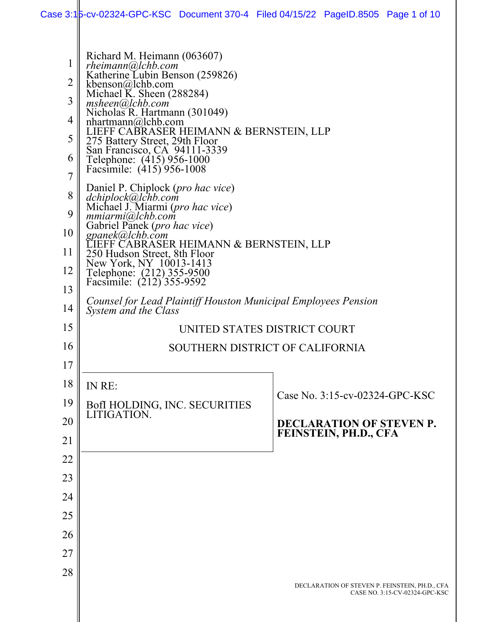| 1<br>2<br>3<br>4<br>5<br>6<br>$\overline{7}$ | Richard M. Heimann (063607)<br><i>rheimann@lchb.com</i><br>Katherine Lubin Benson (259826)<br>kbenson@lchb.com<br>Michael K. Sheen (288284)<br>msheen@lchb.com<br>Nicholas R. Hartmann (301049)<br>$n$ hartmann $@$ lchb.com<br>LIEFF CABRASER HEIMANN & BERNSTEIN, LLP<br>275 Battery Street, 29th Floor<br>San Francisco, CA 94111-3339<br>Telephone: (415) 956-1000<br>Facsimile: (415) 956-1008                                       |                                                                                            |
|----------------------------------------------|-------------------------------------------------------------------------------------------------------------------------------------------------------------------------------------------------------------------------------------------------------------------------------------------------------------------------------------------------------------------------------------------------------------------------------------------|--------------------------------------------------------------------------------------------|
| 8<br>9<br>10<br>11<br>12<br>13<br>14         | Daniel P. Chiplock (pro hac vice)<br>dchiplock@lchb.com<br>Michael J. Miarmi (pro hac vice)<br>$mminmin(a)$ chb.com<br>Gabriel Panek ( <i>pro hac vice</i> )<br>gpanek@lchb.com<br>LIEFF CABRASER HEIMANN & BERNSTEIN, LLP<br>250 Hudson Street, 8th Floor<br>New York, NY 10013-1413<br>Telephone: (212) 355-9500<br>Facsimile: (212) 355-9592<br>Counsel for Lead Plaintiff Houston Municipal Employees Pension<br>System and the Class |                                                                                            |
| 15                                           | UNITED STATES DISTRICT COURT                                                                                                                                                                                                                                                                                                                                                                                                              |                                                                                            |
| 16                                           | SOUTHERN DISTRICT OF CALIFORNIA                                                                                                                                                                                                                                                                                                                                                                                                           |                                                                                            |
| 17                                           |                                                                                                                                                                                                                                                                                                                                                                                                                                           |                                                                                            |
| 18<br>19<br>20<br>21                         | IN RE:<br>BofI HOLDING, INC. SECURITIES<br>LITIGATION.                                                                                                                                                                                                                                                                                                                                                                                    | Case No. 3:15-cv-02324-GPC-KSC<br><b>DECLARATION OF STEVEN P.</b><br>FEINSTEIN, PH.D., CFA |
| 22                                           |                                                                                                                                                                                                                                                                                                                                                                                                                                           |                                                                                            |
| 23                                           |                                                                                                                                                                                                                                                                                                                                                                                                                                           |                                                                                            |
| 24                                           |                                                                                                                                                                                                                                                                                                                                                                                                                                           |                                                                                            |
| 25                                           |                                                                                                                                                                                                                                                                                                                                                                                                                                           |                                                                                            |
| 26                                           |                                                                                                                                                                                                                                                                                                                                                                                                                                           |                                                                                            |
| 27                                           |                                                                                                                                                                                                                                                                                                                                                                                                                                           |                                                                                            |
| 28                                           |                                                                                                                                                                                                                                                                                                                                                                                                                                           | DECLARATION OF STEVEN P. FEINSTEIN, PH.D., CFA<br>CASE NO. 3:15-CV-02324-GPC-KSC           |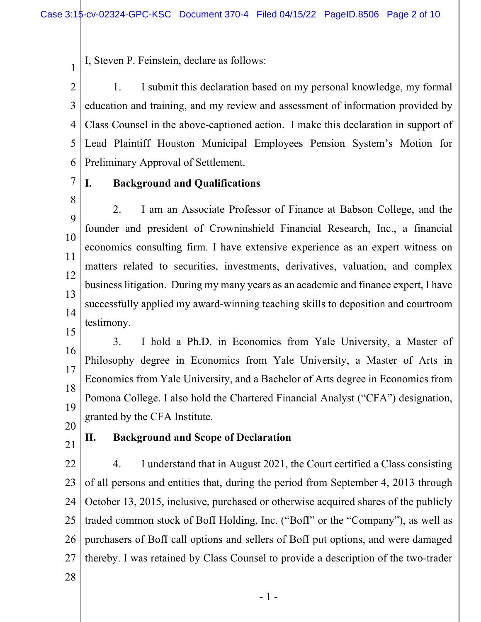I, Steven P. Feinstein, declare as follows:

2 3 4 5 6 1. I submit this declaration based on my personal knowledge, my formal education and training, and my review and assessment of information provided by Class Counsel in the above-captioned action. I make this declaration in support of Lead Plaintiff Houston Municipal Employees Pension System's Motion for Preliminary Approval of Settlement.

7

1

#### **I. Background and Qualifications**

8 9 10 11 12 13 14 15 2. I am an Associate Professor of Finance at Babson College, and the founder and president of Crowninshield Financial Research, Inc., a financial economics consulting firm. I have extensive experience as an expert witness on matters related to securities, investments, derivatives, valuation, and complex business litigation. During my many years as an academic and finance expert, I have successfully applied my award-winning teaching skills to deposition and courtroom testimony.

- 16 17 18 19 20 3. I hold a Ph.D. in Economics from Yale University, a Master of Philosophy degree in Economics from Yale University, a Master of Arts in Economics from Yale University, and a Bachelor of Arts degree in Economics from Pomona College. I also hold the Chartered Financial Analyst ("CFA") designation, granted by the CFA Institute.
- 21

### **II. Background and Scope of Declaration**

22 23 24 25 26 27 4. I understand that in August 2021, the Court certified a Class consisting of all persons and entities that, during the period from September 4, 2013 through October 13, 2015, inclusive, purchased or otherwise acquired shares of the publicly traded common stock of BofI Holding, Inc. ("BofI" or the "Company"), as well as purchasers of BofI call options and sellers of BofI put options, and were damaged thereby. I was retained by Class Counsel to provide a description of the two-trader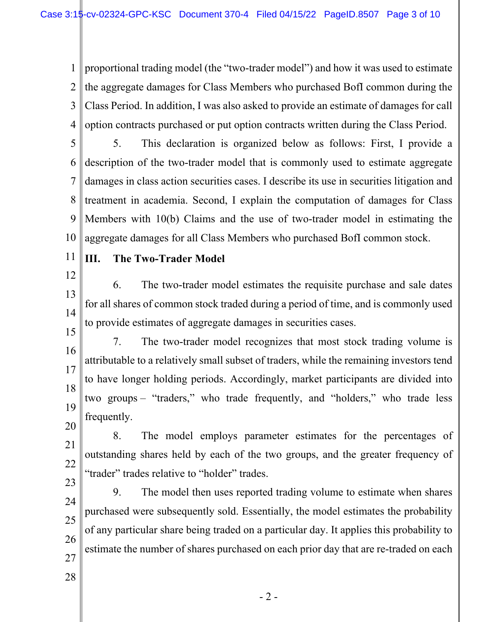1 2 3 4 proportional trading model (the "two-trader model") and how it was used to estimate the aggregate damages for Class Members who purchased BofI common during the Class Period. In addition, I was also asked to provide an estimate of damages for call option contracts purchased or put option contracts written during the Class Period.

5 6 7 8 9 10 5. This declaration is organized below as follows: First, I provide a description of the two-trader model that is commonly used to estimate aggregate damages in class action securities cases. I describe its use in securities litigation and treatment in academia. Second, I explain the computation of damages for Class Members with 10(b) Claims and the use of two-trader model in estimating the aggregate damages for all Class Members who purchased BofI common stock.

11

## **III. The Two-Trader Model**

12 13 14 6. The two-trader model estimates the requisite purchase and sale dates for all shares of common stock traded during a period of time, and is commonly used to provide estimates of aggregate damages in securities cases.

15

16 17 18 19 7. The two-trader model recognizes that most stock trading volume is attributable to a relatively small subset of traders, while the remaining investors tend to have longer holding periods. Accordingly, market participants are divided into two groups – "traders," who trade frequently, and "holders," who trade less frequently.

20 21 22 23 8. The model employs parameter estimates for the percentages of outstanding shares held by each of the two groups, and the greater frequency of "trader" trades relative to "holder" trades.

24 25 26 27 9. The model then uses reported trading volume to estimate when shares purchased were subsequently sold. Essentially, the model estimates the probability of any particular share being traded on a particular day. It applies this probability to estimate the number of shares purchased on each prior day that are re-traded on each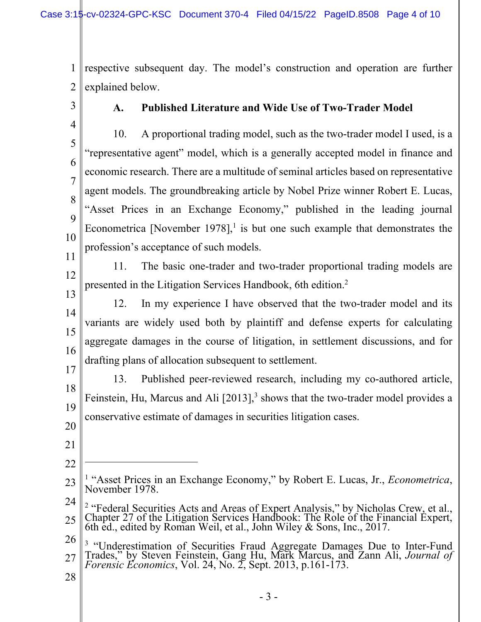1 2 respective subsequent day. The model's construction and operation are further explained below.

3

4

# **A. Published Literature and Wide Use of Two-Trader Model**

5 6 7 8  $\overline{Q}$ 10 10. A proportional trading model, such as the two-trader model I used, is a "representative agent" model, which is a generally accepted model in finance and economic research. There are a multitude of seminal articles based on representative agent models. The groundbreaking article by Nobel Prize winner Robert E. Lucas, "Asset Prices in an Exchange Economy," published in the leading journal Econometrica [November 1978],<sup>1</sup> is but one such example that demonstrates the profession's acceptance of such models.

11 12

11. The basic one-trader and two-trader proportional trading models are presented in the Litigation Services Handbook, 6th edition.2

13 14 15 16 12. In my experience I have observed that the two-trader model and its variants are widely used both by plaintiff and defense experts for calculating aggregate damages in the course of litigation, in settlement discussions, and for drafting plans of allocation subsequent to settlement.

17 18 19 20 13. Published peer-reviewed research, including my co-authored article, Feinstein, Hu, Marcus and Ali  $[2013]$ ,<sup>3</sup> shows that the two-trader model provides a conservative estimate of damages in securities litigation cases.

- 23 <sup>1</sup> "Asset Prices in an Exchange Economy," by Robert E. Lucas, Jr., *Econometrica*, November 1978.
- 24 25 <sup>2</sup> "Federal Securities Acts and Areas of Expert Analysis," by Nicholas Crew, et al., Chapter 27 of the Litigation Services Handbook: The Role of the Financial Expert, 6th ed., edited by Roman Weil, et al., John Wiley & S
- 26 27 3 "Underestimation of Securities Fraud Aggregate Damages Due to Inter-Fund Trades," by Steven Feinstein, Gang Hu, Mark Marcus, and Zann Ali, *Journal of Forensic Economics*, Vol. 24, No. 2, Sept. 2013, p.161-173.
- 28

21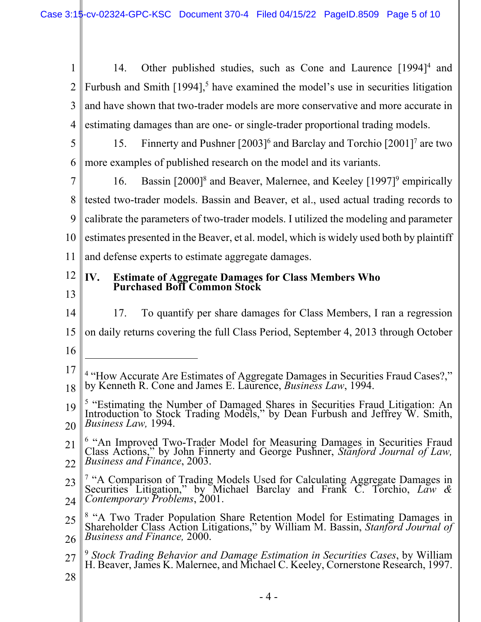| 1  | Other published studies, such as Cone and Laurence [1994] <sup>4</sup> and<br>14.                                                                                                                                |  |  |
|----|------------------------------------------------------------------------------------------------------------------------------------------------------------------------------------------------------------------|--|--|
| 2  | Furbush and Smith $[1994]$ , <sup>5</sup> have examined the model's use in securities litigation                                                                                                                 |  |  |
| 3  | and have shown that two-trader models are more conservative and more accurate in                                                                                                                                 |  |  |
| 4  | estimating damages than are one- or single-trader proportional trading models.                                                                                                                                   |  |  |
| 5  | Finnerty and Pushner $[2003]$ <sup>6</sup> and Barclay and Torchio $[2001]$ <sup>7</sup> are two<br>15.                                                                                                          |  |  |
| 6  | more examples of published research on the model and its variants.                                                                                                                                               |  |  |
| 7  | Bassin [2000] <sup>8</sup> and Beaver, Malernee, and Keeley [1997] <sup>9</sup> empirically<br>16.                                                                                                               |  |  |
| 8  | tested two-trader models. Bassin and Beaver, et al., used actual trading records to                                                                                                                              |  |  |
| 9  | calibrate the parameters of two-trader models. I utilized the modeling and parameter                                                                                                                             |  |  |
| 10 | estimates presented in the Beaver, et al. model, which is widely used both by plaintiff                                                                                                                          |  |  |
| 11 | and defense experts to estimate aggregate damages.                                                                                                                                                               |  |  |
| 12 | IV.<br><b>Estimate of Aggregate Damages for Class Members Who<br/>Purchased Boff Common Stock</b>                                                                                                                |  |  |
| 13 |                                                                                                                                                                                                                  |  |  |
| 14 | To quantify per share damages for Class Members, I ran a regression<br>17.                                                                                                                                       |  |  |
| 15 | on daily returns covering the full Class Period, September 4, 2013 through October                                                                                                                               |  |  |
| 16 |                                                                                                                                                                                                                  |  |  |
| 17 | <sup>4</sup> "How Accurate Are Estimates of Aggregate Damages in Securities Fraud Cases?," by Kenneth R. Cone and James E. Laurence, <i>Business Law</i> , 1994.                                                 |  |  |
| 18 |                                                                                                                                                                                                                  |  |  |
| 19 | <sup>5</sup> "Estimating the Number of Damaged Shares in Securities Fraud Litigation: An<br>Introduction to Stock Trading Models," by Dean Furbush and Jeffrey W. Smith,                                         |  |  |
| 20 | <i>Business Law</i> , 1994.                                                                                                                                                                                      |  |  |
| 21 | <sup>6</sup> "An Improved Two-Trader Model for Measuring Damages in Securities Fraud<br>Class Actions," by John Finnerty and George Pushner, Stanford Journal of Law,<br><i>Business and Finance</i> , 2003.     |  |  |
| 22 |                                                                                                                                                                                                                  |  |  |
| 23 | <sup>7</sup> "A Comparison of Trading Models Used for Calculating Aggregate Damages in<br>Securities Litigation," by Michael Barclay and Frank C. Torchio, $Law \&$<br>Contemporary Problems, 2001.              |  |  |
| 24 |                                                                                                                                                                                                                  |  |  |
| 25 | <sup>8</sup> "A Two Trader Population Share Retention Model for Estimating Damages in<br>Shareholder Class Action Litigations," by William M. Bassin, Stanford Journal of<br><i>Business and Finance</i> , 2000. |  |  |
| 26 |                                                                                                                                                                                                                  |  |  |
| 27 | <sup>9</sup> Stock Trading Behavior and Damage Estimation in Securities Cases, by William<br>H. Beaver, James K. Malernee, and Michael C. Keeley, Cornerstone Research, 1997.                                    |  |  |
| 28 |                                                                                                                                                                                                                  |  |  |
|    | - 4 -                                                                                                                                                                                                            |  |  |

║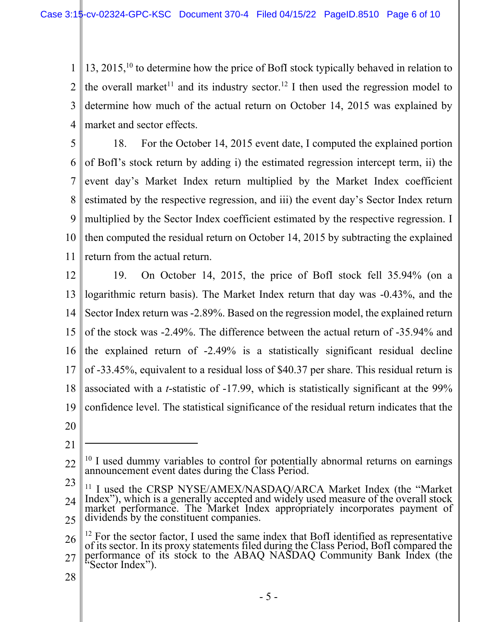1 2 3 4 13, 2015,<sup>10</sup> to determine how the price of BofI stock typically behaved in relation to the overall market<sup>11</sup> and its industry sector.<sup>12</sup> I then used the regression model to determine how much of the actual return on October 14, 2015 was explained by market and sector effects.

5 6 7 8 9 10 11 18. For the October 14, 2015 event date, I computed the explained portion of BofI's stock return by adding i) the estimated regression intercept term, ii) the event day's Market Index return multiplied by the Market Index coefficient estimated by the respective regression, and iii) the event day's Sector Index return multiplied by the Sector Index coefficient estimated by the respective regression. I then computed the residual return on October 14, 2015 by subtracting the explained return from the actual return.

- 12 13 14 15 16 17 18 19 19. On October 14, 2015, the price of BofI stock fell 35.94% (on a logarithmic return basis). The Market Index return that day was -0.43%, and the Sector Index return was -2.89%. Based on the regression model, the explained return of the stock was -2.49%. The difference between the actual return of -35.94% and the explained return of -2.49% is a statistically significant residual decline of -33.45%, equivalent to a residual loss of \$40.37 per share. This residual return is associated with a *t*-statistic of -17.99, which is statistically significant at the 99% confidence level. The statistical significance of the residual return indicates that the
- 20

21

<sup>22</sup>  $10$  I used dummy variables to control for potentially abnormal returns on earnings announcement event dates during the Class Period.

<sup>23</sup> 24 25 <sup>11</sup> I used the CRSP NYSE/AMEX/NASDAQ/ARCA Market Index (the "Market Index"), which is a generally accepted and widely used measure of the overall stock market performance. The Market Index appropriately incorporates payment of dividends by the constituent companies.

<sup>26</sup> 27 <sup>12</sup> For the sector factor, I used the same index that BofI identified as representative of its sector. In its proxy statements filed during the Class Period, BofI compared the performance of its stock to the ABAQ NASDAQ Community Bank Index (the "Sector Index").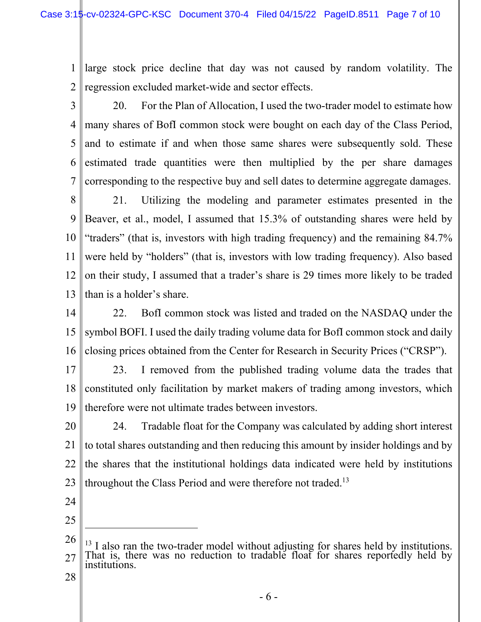1 2 large stock price decline that day was not caused by random volatility. The regression excluded market-wide and sector effects.

3 4 5 6 7 20. For the Plan of Allocation, I used the two-trader model to estimate how many shares of BofI common stock were bought on each day of the Class Period, and to estimate if and when those same shares were subsequently sold. These estimated trade quantities were then multiplied by the per share damages corresponding to the respective buy and sell dates to determine aggregate damages.

8 9 10 11 12 13 21. Utilizing the modeling and parameter estimates presented in the Beaver, et al., model, I assumed that 15.3% of outstanding shares were held by "traders" (that is, investors with high trading frequency) and the remaining 84.7% were held by "holders" (that is, investors with low trading frequency). Also based on their study, I assumed that a trader's share is 29 times more likely to be traded than is a holder's share.

14 15 16 22. BofI common stock was listed and traded on the NASDAQ under the symbol BOFI. I used the daily trading volume data for BofI common stock and daily closing prices obtained from the Center for Research in Security Prices ("CRSP").

17 18 19 23. I removed from the published trading volume data the trades that constituted only facilitation by market makers of trading among investors, which therefore were not ultimate trades between investors.

20 21 22 23 24. Tradable float for the Company was calculated by adding short interest to total shares outstanding and then reducing this amount by insider holdings and by the shares that the institutional holdings data indicated were held by institutions throughout the Class Period and were therefore not traded.<sup>13</sup>

- 24
- 25

26 27  $13$  I also ran the two-trader model without adjusting for shares held by institutions.<br>That is, there was no reduction to tradable float for shares reportedly held by institutions.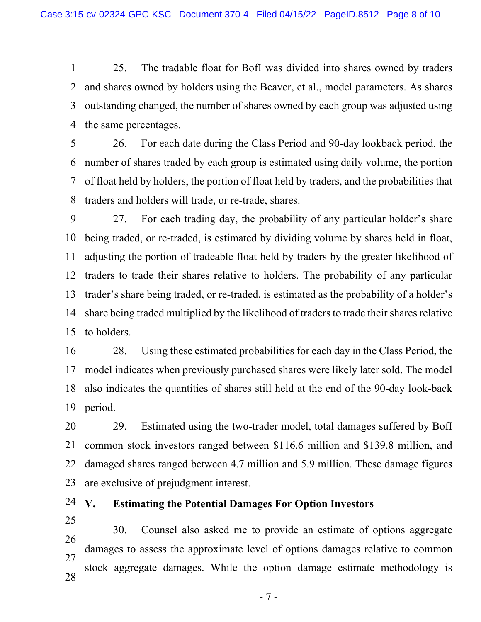1 2 3 4 25. The tradable float for BofI was divided into shares owned by traders and shares owned by holders using the Beaver, et al., model parameters. As shares outstanding changed, the number of shares owned by each group was adjusted using the same percentages.

5 6 7 8 26. For each date during the Class Period and 90-day lookback period, the number of shares traded by each group is estimated using daily volume, the portion of float held by holders, the portion of float held by traders, and the probabilities that traders and holders will trade, or re-trade, shares.

9 10 11 12 13 14 15 27. For each trading day, the probability of any particular holder's share being traded, or re-traded, is estimated by dividing volume by shares held in float, adjusting the portion of tradeable float held by traders by the greater likelihood of traders to trade their shares relative to holders. The probability of any particular trader's share being traded, or re-traded, is estimated as the probability of a holder's share being traded multiplied by the likelihood of traders to trade their shares relative to holders.

16 17 18 19 28. Using these estimated probabilities for each day in the Class Period, the model indicates when previously purchased shares were likely later sold. The model also indicates the quantities of shares still held at the end of the 90-day look-back period.

20 21 22 23 29. Estimated using the two-trader model, total damages suffered by BofI common stock investors ranged between \$116.6 million and \$139.8 million, and damaged shares ranged between 4.7 million and 5.9 million. These damage figures are exclusive of prejudgment interest.

24

# **V. Estimating the Potential Damages For Option Investors**

25 26 27 28 30. Counsel also asked me to provide an estimate of options aggregate damages to assess the approximate level of options damages relative to common stock aggregate damages. While the option damage estimate methodology is

- 7 -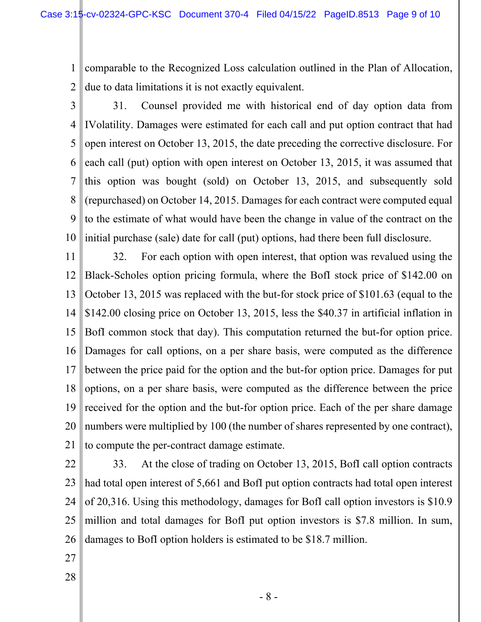1 2 comparable to the Recognized Loss calculation outlined in the Plan of Allocation, due to data limitations it is not exactly equivalent.

3

4 5 6 7 8 9 10 31. Counsel provided me with historical end of day option data from IVolatility. Damages were estimated for each call and put option contract that had open interest on October 13, 2015, the date preceding the corrective disclosure. For each call (put) option with open interest on October 13, 2015, it was assumed that this option was bought (sold) on October 13, 2015, and subsequently sold (repurchased) on October 14, 2015. Damages for each contract were computed equal to the estimate of what would have been the change in value of the contract on the initial purchase (sale) date for call (put) options, had there been full disclosure.

11 12 13 14 15 16 17 18 19 20 21 32. For each option with open interest, that option was revalued using the Black-Scholes option pricing formula, where the BofI stock price of \$142.00 on October 13, 2015 was replaced with the but-for stock price of \$101.63 (equal to the \$142.00 closing price on October 13, 2015, less the \$40.37 in artificial inflation in BofI common stock that day). This computation returned the but-for option price. Damages for call options, on a per share basis, were computed as the difference between the price paid for the option and the but-for option price. Damages for put options, on a per share basis, were computed as the difference between the price received for the option and the but-for option price. Each of the per share damage numbers were multiplied by 100 (the number of shares represented by one contract), to compute the per-contract damage estimate.

22 23 24 25 26 33. At the close of trading on October 13, 2015, BofI call option contracts had total open interest of 5,661 and BofI put option contracts had total open interest of 20,316. Using this methodology, damages for BofI call option investors is \$10.9 million and total damages for BofI put option investors is \$7.8 million. In sum, damages to BofI option holders is estimated to be \$18.7 million.

- 27
- 28